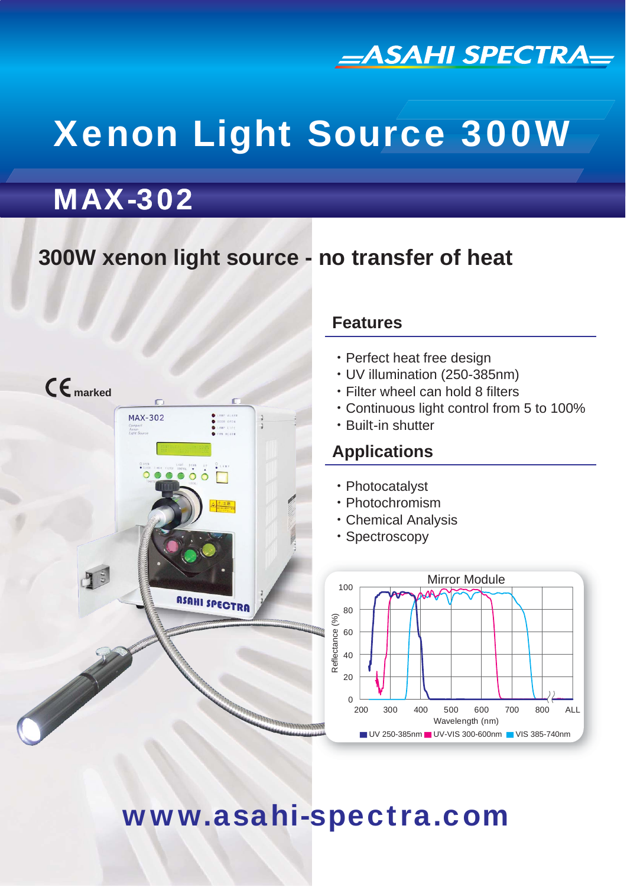

# Xenon Light Source 300W

# MAX-302

# **300W xenon light source - no transfer of heat**



### **Features**

- ・Perfect heat free design
- ・UV illumination (250-385nm)
- ・Filter wheel can hold 8 filters
- ・Continuous light control from 5 to 100%
- ・Built-in shutter

### **Applications**

- ・Photocatalyst
- ・Photochromism
- ・Chemical Analysis
- ・Spectroscopy



# www.asahi-spectra.com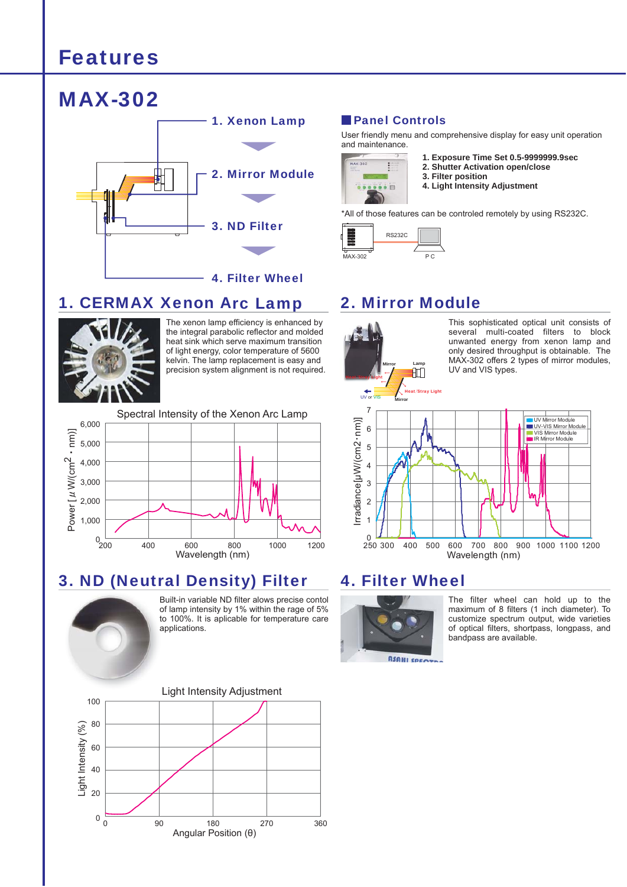### Features



#### 1. CERMAX Xenon Arc Lamp 2. Mirror Module



The xenon lamp efficiency is enhanced by the integral parabolic reflector and molded heat sink which serve maximum transition of light energy, color temperature of 5600 kelvin. The lamp replacement is easy and precision system alignment is not required.



### 3. ND (Neutral Density) Filter 4. Filter Wheel



Built-in variable ND filter alows precise contol B of lamp intensity by 1% within the rage of 5% o to 100%. It is aplicable for temperature care applications. a



#### **Panel Controls**

User friendly menu and comprehensive display for easy unit operation and maintenance.



- **1. Exposure Time Set 0.5-9999999.9sec**
- **2. Shutter Activation open/close**
- **3. Filter position**
- **4. Light Intensity Adjustment**

\*All of those features can be controled remotely by using RS232C.





This sophisticated optical unit consists of several multi-coated filters to block unwanted energy from xenon lamp and only desired throughput is obtainable. The MAX-302 offers 2 types of mirror modules, UV and VIS types.





The filter wheel can hold up to the maximum of 8 filters (1 inch diameter). To customize spectrum output, wide varieties of optical filters, shortpass, longpass, and bandpass are available.

**ASAHI SPECTO**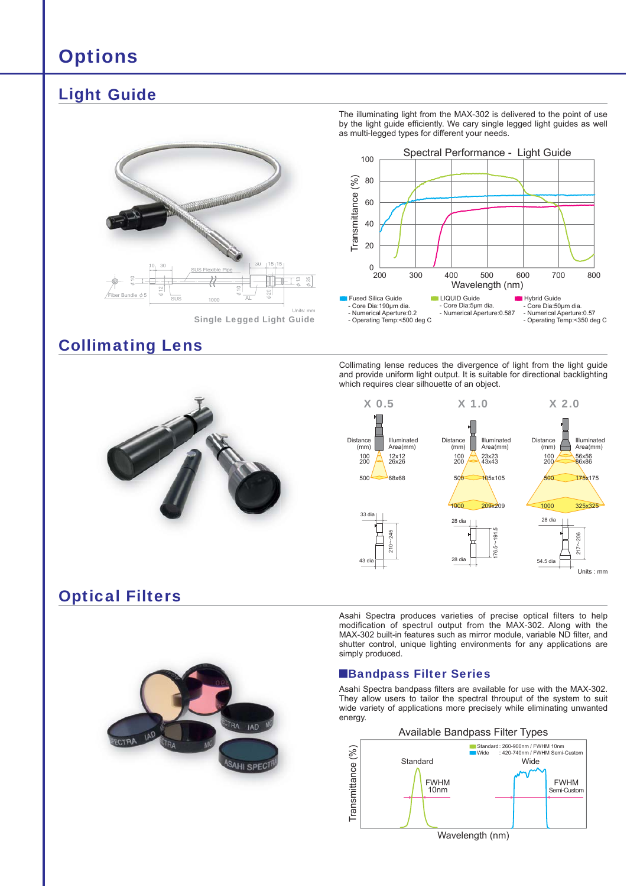### **Options**

### Light Guide



Single Legged Light Guide

### Collimating Lens

The illuminating light from the MAX-302 is delivered to the point of use by the light guide efficiently. We cary single legged light guides as well as multi-legged types for different your needs.



Collimating lense reduces the divergence of light from the light guide and provide uniform light output. It is suitable for directional backlighting which requires clear silhouette of an object.



Asahi Spectra produces varieties of precise optical filters to help modification of spectrul output from the MAX-302. Along with the MAX-302 built-in features such as mirror module, variable ND filter, and shutter control, unique lighting environments for any applications are simply produced.

#### **Bandpass Filter Series**

Asahi Spectra bandpass filters are available for use with the MAX-302. They allow users to tailor the spectral throuput of the system to suit wide variety of applications more precisely while eliminating unwanted energy.



Optical Filters